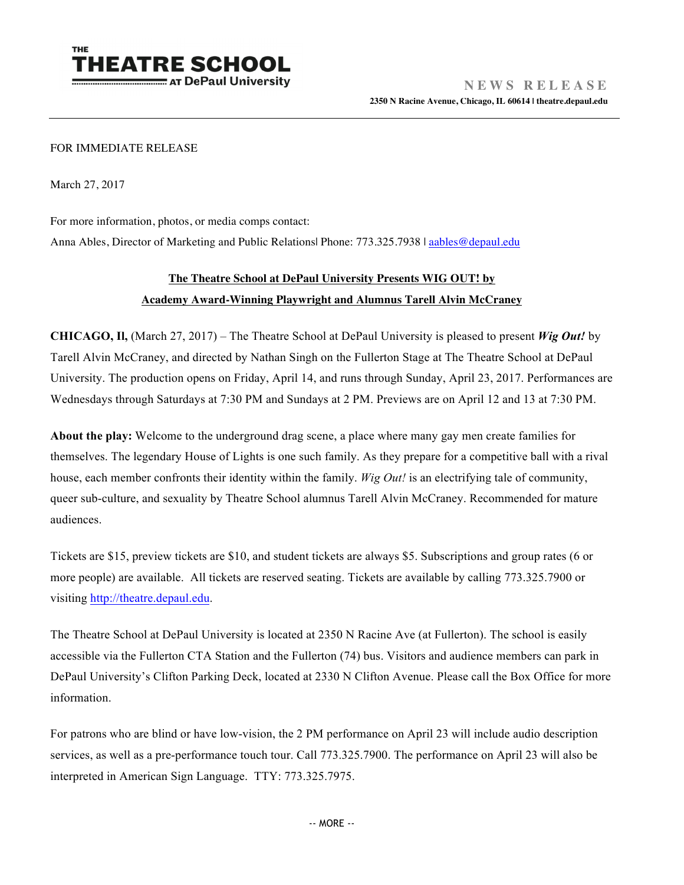

## FOR IMMEDIATE RELEASE

March 27, 2017

For more information, photos, or media comps contact:

Anna Ables, Director of Marketing and Public Relations| Phone: 773.325.7938 | aables@depaul.edu

## **The Theatre School at DePaul University Presents WIG OUT! by Academy Award-Winning Playwright and Alumnus Tarell Alvin McCraney**

**CHICAGO, Il,** (March 27, 2017) – The Theatre School at DePaul University is pleased to present *Wig Out!* by Tarell Alvin McCraney, and directed by Nathan Singh on the Fullerton Stage at The Theatre School at DePaul University. The production opens on Friday, April 14, and runs through Sunday, April 23, 2017. Performances are Wednesdays through Saturdays at 7:30 PM and Sundays at 2 PM. Previews are on April 12 and 13 at 7:30 PM.

**About the play:** Welcome to the underground drag scene, a place where many gay men create families for themselves. The legendary House of Lights is one such family. As they prepare for a competitive ball with a rival house, each member confronts their identity within the family. *Wig Out!* is an electrifying tale of community, queer sub-culture, and sexuality by Theatre School alumnus Tarell Alvin McCraney. Recommended for mature audiences.

Tickets are \$15, preview tickets are \$10, and student tickets are always \$5. Subscriptions and group rates (6 or more people) are available. All tickets are reserved seating. Tickets are available by calling 773.325.7900 or visiting http://theatre.depaul.edu.

The Theatre School at DePaul University is located at 2350 N Racine Ave (at Fullerton). The school is easily accessible via the Fullerton CTA Station and the Fullerton (74) bus. Visitors and audience members can park in DePaul University's Clifton Parking Deck, located at 2330 N Clifton Avenue. Please call the Box Office for more information.

For patrons who are blind or have low-vision, the 2 PM performance on April 23 will include audio description services, as well as a pre-performance touch tour. Call 773.325.7900. The performance on April 23 will also be interpreted in American Sign Language. TTY: 773.325.7975.